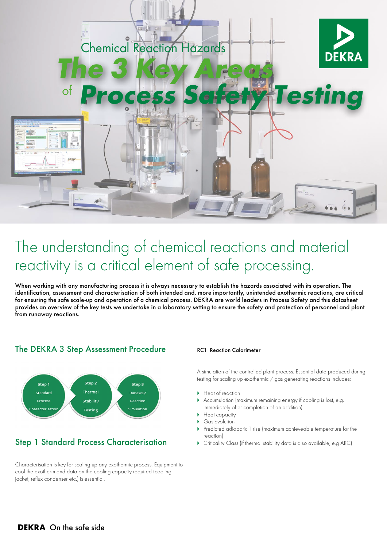

# The understanding of chemical reactions and material reactivity is a critical element of safe processing.

When working with any manufacturing process it is always necessary to establish the hazards associated with its operation. The identification, assessment and characterisation of both intended and, more importantly, unintended exothermic reactions, are critical for ensuring the safe scale-up and operation of a chemical process. DEKRA are world leaders in Process Safety and this datasheet provides an overview of the key tests we undertake in a laboratory setting to ensure the safety and protection of personnel and plant from runaway reactions.

### The DEKRA 3 Step Assessment Procedure RC1 Reaction Calorimeter



## Step 1 Standard Process Characterisation

Characterisation is key for scaling up any exothermic process. Equipment to cool the exotherm and data on the cooling capacity required (cooling jacket, reflux condenser etc.) is essential.

A simulation of the controlled plant process. Essential data produced during testing for scaling up exothermic / gas generating reactions includes;

- $\blacktriangleright$  Heat of reaction
- Accumulation (maximum remaining energy if cooling is lost, e.g. immediately after completion of an addition)
- $\blacktriangleright$  Heat capacity
- Gas evolution
- ` Predicted adiabatic T rise (maximum achieveable temperature for the reaction)
- $\triangleright$  Criticality Class (if thermal stability data is also available, e.g ARC)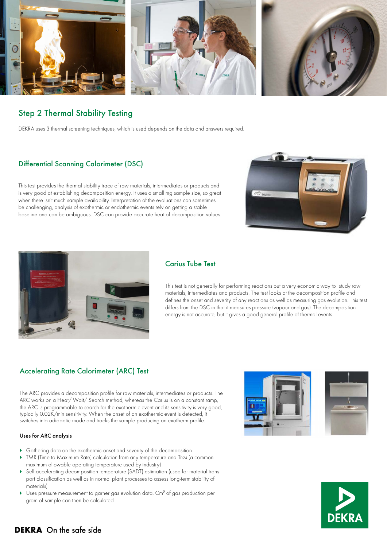

### Step 2 Thermal Stability Testing

DEKRA uses 3 thermal screening techniques, which is used depends on the data and answers required.

### Differential Scanning Calorimeter (DSC)

This test provides the thermal stability trace of raw materials, intermediates or products and is very good at establishing decomposition energy. It uses a small mg sample size, so great when there isn't much sample availability. Interpretation of the evaluations can sometimes be challenging, analysis of exothermic or endothermic events rely on getting a stable baseline and can be ambiguous. DSC can provide accurate heat of decomposition values.





### Carius Tube Test

This test is not generally for performing reactions but a very economic way to study raw materials, intermediates and products. The test looks at the decomposition profile and defines the onset and severity of any reactions as well as measuring gas evolution. This test differs from the DSC in that it measures pressure (vapour and gas). The decomposition energy is not accurate, but it gives a good general profile of thermal events.

#### Accelerating Rate Calorimeter (ARC) Test

The ARC provides a decomposition profile for raw materials, intermediates or products. The ARC works on a Heat/ Wait/ Search method, whereas the Carius is on a constant ramp, the ARC is programmable to search for the exothermic event and its sensitivity is very good, typically 0.02K/min sensitivity. When the onset of an exothermic event is detected, it switches into adiabatic mode and tracks the sample producing an exotherm profile.

#### Uses for ARC analysis

- $\triangleright$  Gathering data on the exothermic onset and severity of the decomposition
- ▶ TMR (Time to Maximum Rate) calculation from any temperature and TD24 (a common maximum allowable operating temperature used by industry)
- ` Self-accelerating decomposition temperature (SADT) estimation (used for material transport classification as well as in normal plant processes to assess long-term stability of materials)
- $\blacktriangleright$  Uses pressure measurement to garner gas evolution data. Cm<sup>3</sup> of gas production per gram of sample can then be calculated





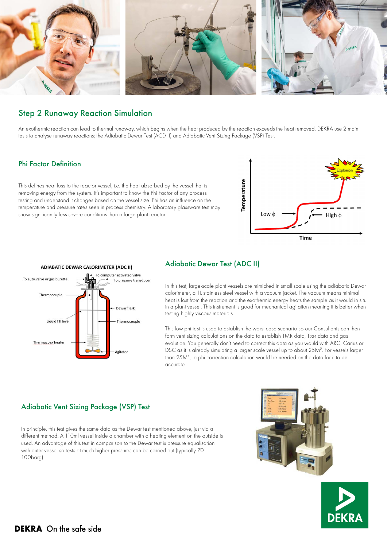

### Step 2 Runaway Reaction Simulation

An exothermic reaction can lead to thermal runaway, which begins when the heat produced by the reaction exceeds the heat removed. DEKRA use 2 main tests to analyse runaway reactions; the Adiabatic Dewar Test (ACD II) and Adiabatic Vent Sizing Package (VSP) Test.

#### Phi Factor Definition

This defines heat loss to the reactor vessel, i.e. the heat absorbed by the vessel that is removing energy from the system. It's important to know the Phi Factor of any process testing and understand it changes based on the vessel size. Phi has an influence on the temperature and pressure rates seen in process chemistry. A laboratory glassware test may show significantly less severe conditions than a large plant reactor.





#### Adiabatic Dewar Test (ADC II)

In this test, large-scale plant vessels are mimicked in small scale using the adiabatic Dewar calorimeter, a 1L stainless steel vessel with a vacuum jacket. The vacuum means minimal heat is lost from the reaction and the exothermic energy heats the sample as it would in situ in a plant vessel. This instrument is good for mechanical agitation meaning it is better when testing highly viscous materials.

This low phi test is used to establish the worst-case scenario so our Consultants can then form vent sizing calculations on the data to establish TMR data, TD24 data and gas evolution. You generally don't need to correct this data as you would with ARC, Carius or DSC as it is already simulating a larger scale vessel up to about 25M<sup>3</sup>. For vessels larger than 25M<sup>3</sup>, a phi correction calculation would be needed on the data for it to be accurate.

#### Adiabatic Vent Sizing Package (VSP) Test

In principle, this test gives the same data as the Dewar test mentioned above, just via a different method. A 110ml vessel inside a chamber with a heating element on the outside is used. An advantage of this test in comparison to the Dewar test is pressure equalisation with outer vessel so tests at much higher pressures can be carried out (typically 70- 100barg).